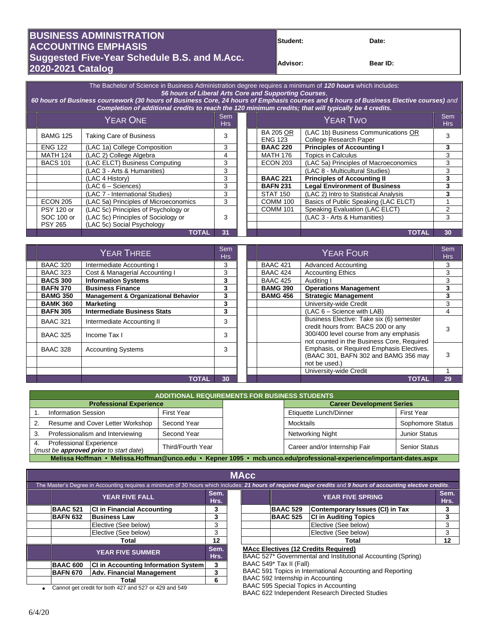## **BUSINESS ADMINISTRATION Student: Date: ACCOUNTING EMPHASIS Suggested Five-Year Schedule B.S. and M.Acc. Advisor: Advisor: Bear ID: Bear ID: 2020-2021 Catalog**

The Bachelor of Science in Business Administration degree requires a minimum of *120 hours* which includes: *56 hours of Liberal Arts Core and Supporting Courses*, *60 hours of Business coursework (30 hours of Business Core, 24 hours of Emphasis courses and 6 hours of Business Elective courses) and Completion of additional credits to reach the 120 minimum credits; that will typically be 4 credits.* YEAR ONE Sem em<br>Hrs Bem Hrs YEAR TWO Sem Hrs Hrs BAMG 125 Taking Care of Business 3 BA 205 OR ENG 123 (LAC 1b) Business Communications OR College Research Paper ENG 122 (LAC 1a) College Composition 3 **BAAC 220 Principles of Accounting I 3** MATH 124 (LAC 2) College Algebra 4 MATH 176 Topics in Calculus 3 BACS 101 | (LAC ELCT) Business Computing | 3 | | ECON 203 | (LAC 5a) Principles of Macroeconomics | 3 (LAC 3 - Arts & Humanities) 3 (LAC 8 - Multicultural Studies) 3 (LAC 4 History) 3 **BAAC 221 Principles of Accounting II 3** (LAC 6 – Sciences) 3 **BAFN 231 Legal Environment of Business 3** (LAC 7 - International Studies) 3 STAT 150 (LAC 2) Intro to Statistical Analysis 3<br>(LAC 5a) Principles of Microeconomics 3 COMM 100 Basics of Public Speaking (LAC ELCT) 1 ECON 205 (LAC 5a) Principles of Microeconomics 3 COMM 100 Basics of Public Speaking (LAC ELCT) 1<br>PSY 120 or (LAC 5c) Principles of Psychology or COMM 101 Speaking Evaluation (LAC ELCT) 2 PSY 120 or SOC 100 or PSY 265 (LAC 5c) Principles of Psychology or (LAC 5c) Principles of Sociology or (LAC 5c) Social Psychology 3 Speaking Evaluation (LAC ELCT) (LAC 3 - Arts & Humanities) 3 **TOTAL 31 TOTAL 30**

| YEAR THREE      |                                                 | Sem<br><b>Hrs</b> |  | <b>YEAR FOUR</b> |                                                                                      | Sem<br><b>Hrs</b> |
|-----------------|-------------------------------------------------|-------------------|--|------------------|--------------------------------------------------------------------------------------|-------------------|
| <b>BAAC 320</b> | Intermediate Accounting I                       | 3                 |  | <b>BAAC 421</b>  | <b>Advanced Accounting</b>                                                           | 3                 |
| <b>BAAC 323</b> | Cost & Managerial Accounting I                  | 3                 |  | <b>BAAC 424</b>  | <b>Accounting Ethics</b>                                                             | 3                 |
| <b>BACS 300</b> | <b>Information Systems</b>                      | 3                 |  | <b>BAAC 425</b>  | Auditing I                                                                           | 3                 |
| <b>BAFN 370</b> | <b>Business Finance</b>                         | 3                 |  | <b>BAMG 390</b>  | <b>Operations Management</b>                                                         | 3                 |
| <b>BAMG 350</b> | <b>Management &amp; Organizational Behavior</b> | 3                 |  | <b>BAMG 456</b>  | <b>Strategic Management</b>                                                          | 3                 |
| <b>BAMK 360</b> | <b>Marketing</b>                                | 3                 |  |                  | University-wide Credit                                                               | 3                 |
| <b>BAFN 305</b> | <b>Intermediate Business Stats</b>              | 3                 |  |                  | $(LAC 6 - Science with LAB)$                                                         | 4                 |
| <b>BAAC 321</b> | Intermediate Accounting II                      | 3                 |  |                  | Business Elective: Take six (6) semester<br>credit hours from: BACS 200 or any       |                   |
| <b>BAAC 325</b> | Income Tax I                                    | 3                 |  |                  | 300/400 level course from any emphasis<br>not counted in the Business Core, Required |                   |
| <b>BAAC 328</b> | <b>Accounting Systems</b>                       | 3                 |  |                  | Emphasis, or Required Emphasis Electives.<br>(BAAC 301, BAFN 302 and BAMG 356 may    | 3                 |
|                 |                                                 |                   |  |                  | not be used.)                                                                        |                   |
|                 |                                                 |                   |  |                  | University-wide Credit                                                               |                   |
|                 | <b>TOTAL</b>                                    | 30                |  |                  | <b>TOTAL</b>                                                                         | 29                |

| <b>ADDITIONAL REQUIREMENTS FOR BUSINESS STUDENTS</b>                                                                 |                   |  |                                  |                      |  |  |  |  |
|----------------------------------------------------------------------------------------------------------------------|-------------------|--|----------------------------------|----------------------|--|--|--|--|
| <b>Professional Experience</b>                                                                                       |                   |  | <b>Career Development Series</b> |                      |  |  |  |  |
| <b>Information Session</b>                                                                                           | First Year        |  | Etiquette Lunch/Dinner           | <b>First Year</b>    |  |  |  |  |
| Resume and Cover Letter Workshop                                                                                     | Second Year       |  | Mocktails                        | Sophomore Status     |  |  |  |  |
| Professionalism and Interviewing                                                                                     | Second Year       |  | Networking Night                 | <b>Junior Status</b> |  |  |  |  |
| <b>Professional Experience</b><br>4.<br>(must be approved prior to start date)                                       | Third/Fourth Year |  | Career and/or Internship Fair    | <b>Senior Status</b> |  |  |  |  |
| Melissa Hoffman • Melissa.Hoffman@unco.edu • Kepner 1095 • mcb.unco.edu/professional-experience/important-dates.aspx |                   |  |                                  |                      |  |  |  |  |

|                 |                                                       |    |                                   |                         | The Master's Degree in Accounting requires a minimum of 30 hours which includes: 21 hours of required major credits and 9 hours of accounting elective credits. |              |  |
|-----------------|-------------------------------------------------------|----|-----------------------------------|-------------------------|-----------------------------------------------------------------------------------------------------------------------------------------------------------------|--------------|--|
|                 | <b>YEAR FIVE FALL</b>                                 |    |                                   |                         | <b>YEAR FIVE SPRING</b>                                                                                                                                         | Sem.<br>Hrs. |  |
| <b>BAAC 521</b> | <b>CI in Financial Accounting</b>                     | 3  |                                   | <b>BAAC 529</b>         | Contemporary Issues (CI) in Tax                                                                                                                                 | З            |  |
| <b>BAFN 632</b> | <b>Business Law</b>                                   | 3  |                                   | <b>BAAC 525</b>         | <b>CI in Auditing Topics</b>                                                                                                                                    | 3            |  |
|                 | Elective (See below)                                  | 3  |                                   |                         | Elective (See below)                                                                                                                                            | 3            |  |
|                 | Elective (See below)                                  | 3  |                                   |                         | Elective (See below)                                                                                                                                            | 3            |  |
|                 | Total                                                 |    |                                   |                         | Total                                                                                                                                                           | $12 \,$      |  |
|                 | <b>YEAR FIVE SUMMER</b>                               |    |                                   |                         | <b>MAcc Electives (12 Credits Required)</b><br>BAAC 527* Governmental and Institutional Accounting (Spring)                                                     |              |  |
| <b>BAAC 600</b> | <b>CI</b> in Accounting Information System            | 3  |                                   | BAAC 549* Tax II (Fall) |                                                                                                                                                                 |              |  |
| <b>BAFN 670</b> | <b>Adv. Financial Management</b>                      | 3  |                                   |                         | BAAC 591 Topics in International Accounting and Reporting                                                                                                       |              |  |
|                 | Total                                                 | 6. | BAAC 592 Internship in Accounting |                         |                                                                                                                                                                 |              |  |
|                 | Cannot get credit for both 427 and 527 or 429 and 549 |    |                                   |                         | BAAC 595 Special Topics in Accounting                                                                                                                           |              |  |

BAAC 622 Independent Research Directed Studies